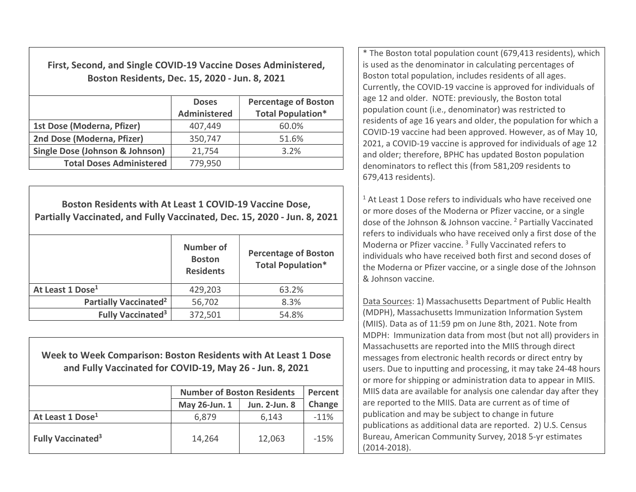First, Second, and Single COVID-19 Vaccine Doses Administered, Boston Residents, Dec. 15, 2020 - Jun. 8, 2021

|                                 | <b>Doses</b><br><b>Administered</b> | <b>Percentage of Boston</b><br><b>Total Population*</b> |
|---------------------------------|-------------------------------------|---------------------------------------------------------|
| 1st Dose (Moderna, Pfizer)      | 407,449                             | 60.0%                                                   |
| 2nd Dose (Moderna, Pfizer)      | 350,747                             | 51.6%                                                   |
| Single Dose (Johnson & Johnson) | 21,754                              | 3.2%                                                    |
| <b>Total Doses Administered</b> | 779,950                             |                                                         |

Boston Residents with At Least 1 COVID-19 Vaccine Dose, Partially Vaccinated, and Fully Vaccinated, Dec. 15, 2020 - Jun. 8, 2021 Number of **Boston** Residents Percentage of Boston Total Population\* At Least 1 Dose<sup>1</sup> **429,203** 63.2% Partially Vaccinated<sup>2</sup>  $56,702$  8.3% Fully Vaccinated<sup>3</sup>  $372,501$  54.8%

Week to Week Comparison: Boston Residents with At Least 1 Dose and Fully Vaccinated for COVID-19, May 26 - Jun. 8, 2021

|                                     | <b>Number of Boston Residents</b> | Percent              |        |
|-------------------------------------|-----------------------------------|----------------------|--------|
|                                     | May 26-Jun. 1                     | <b>Jun. 2-Jun. 8</b> | Change |
| At Least 1 Dose <sup>1</sup>        | 6,879                             | 6,143                | $-11%$ |
| <b>Fully Vaccinated<sup>3</sup></b> | 14,264                            | 12,063               | $-15%$ |

\* The Boston total population count (679,413 residents), which is used as the denominator in calculating percentages of Boston total population, includes residents of all ages. Currently, the COVID-19 vaccine is approved for individuals of age 12 and older. NOTE: previously, the Boston total population count (i.e., denominator) was restricted to residents of age 16 years and older, the population for which a COVID-19 vaccine had been approved. However, as of May 10, 2021, a COVID-19 vaccine is approved for individuals of age 12 and older; therefore, BPHC has updated Boston population denominators to reflect this (from 581,209 residents to 679,413 residents).

<sup>1</sup> At Least 1 Dose refers to individuals who have received one or more doses of the Moderna or Pfizer vaccine, or a single dose of the Johnson & Johnson vaccine.<sup>2</sup> Partially Vaccinated refers to individuals who have received only a first dose of the Moderna or Pfizer vaccine.<sup>3</sup> Fully Vaccinated refers to individuals who have received both first and second doses of the Moderna or Pfizer vaccine, or a single dose of the Johnson & Johnson vaccine.

Data Sources: 1) Massachusetts Department of Public Health (MDPH), Massachusetts Immunization Information System (MIIS). Data as of 11:59 pm on June 8th, 2021. Note from MDPH: Immunization data from most (but not all) providers in Massachusetts are reported into the MIIS through direct messages from electronic health records or direct entry by users. Due to inputting and processing, it may take 24-48 hours or more for shipping or administration data to appear in MIIS. MIIS data are available for analysis one calendar day after they are reported to the MIIS. Data are current as of time of publication and may be subject to change in future publications as additional data are reported. 2) U.S. Census Bureau, American Community Survey, 2018 5-yr estimates (2014-2018).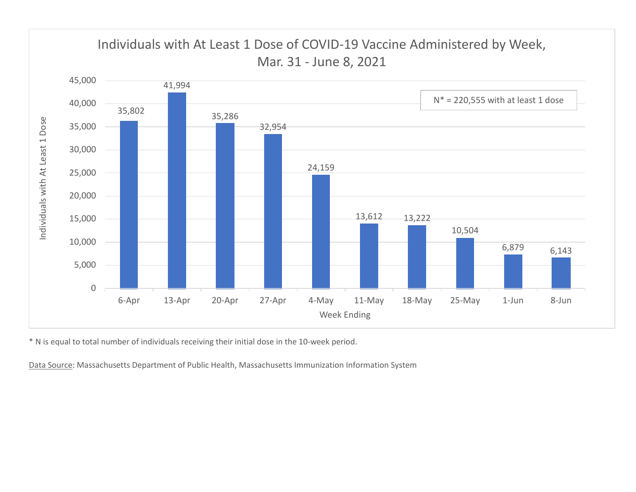

\* N is equal to total number of individuals receiving their initial dose in the 10-week period.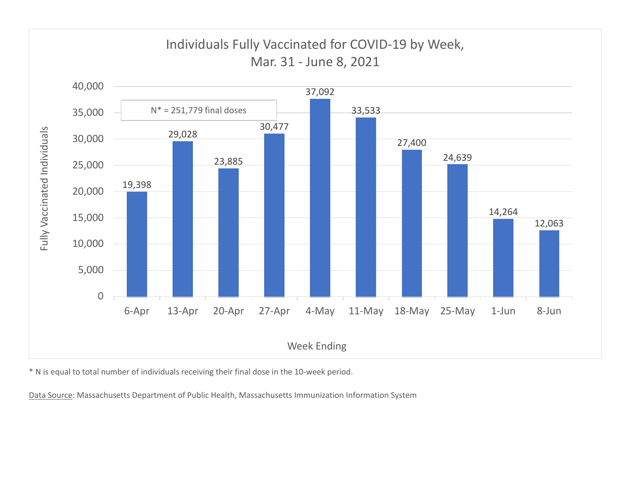

\* N is equal to total number of individuals receiving their final dose in the 10-week period.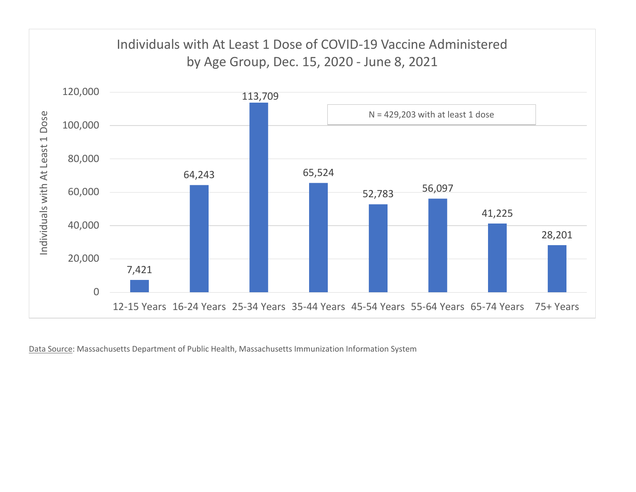

Data Source: Massachusetts Department of Public Health, Massachusetts Immunization Information System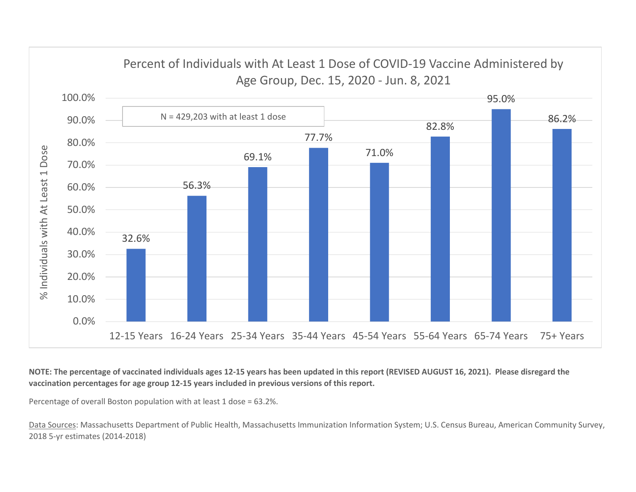

NOTE: The percentage of vaccinated individuals ages 12-15 years has been updated in this report (REVISED AUGUST 16, 2021). Please disregard the vaccination percentages for age group 12-15 years included in previous versions of this report.

Percentage of overall Boston population with at least 1 dose = 63.2%.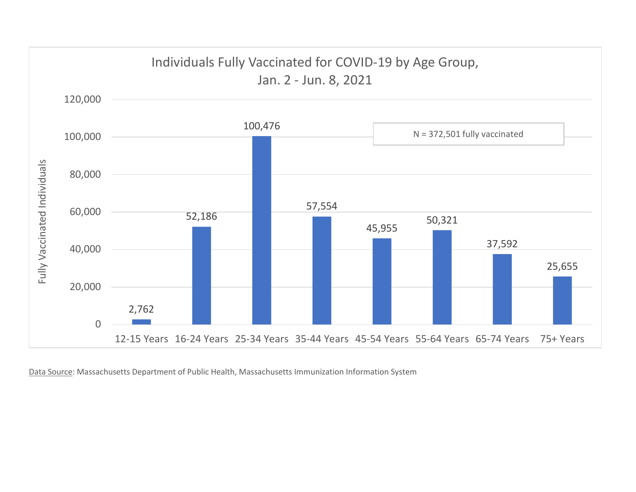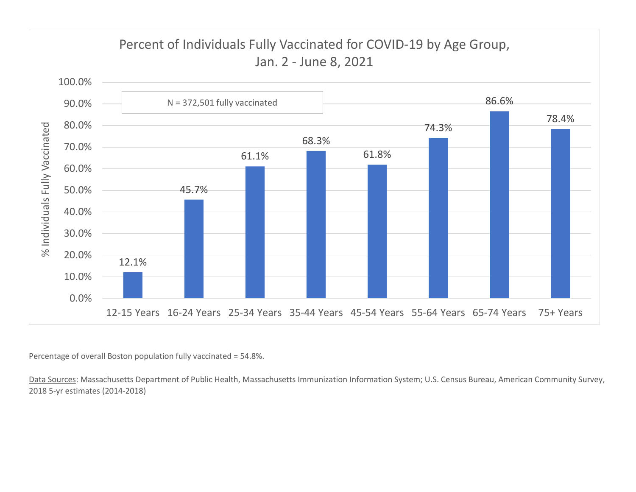

Percentage of overall Boston population fully vaccinated = 54.8%.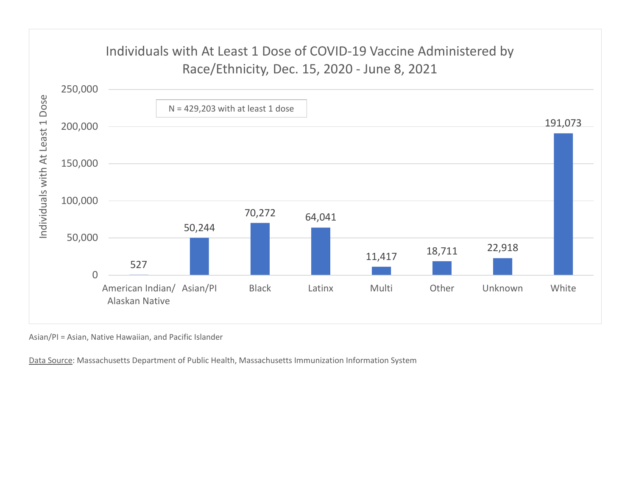

Asian/PI = Asian, Native Hawaiian, and Pacific Islander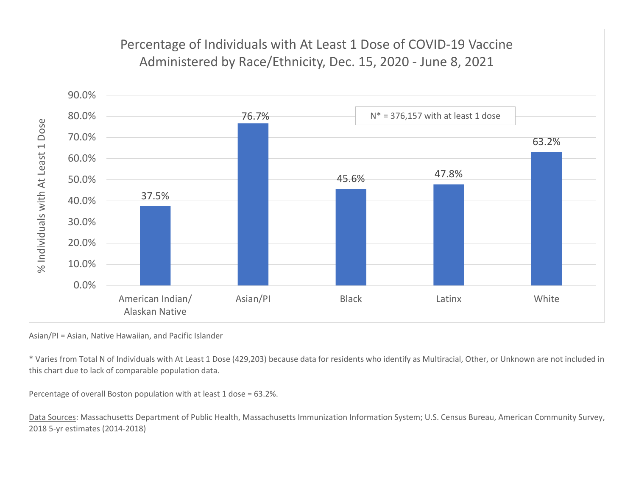

Asian/PI = Asian, Native Hawaiian, and Pacific Islander

\* Varies from Total N of Individuals with At Least 1 Dose (429,203) because data for residents who identify as Multiracial, Other, or Unknown are not included in this chart due to lack of comparable population data.

Percentage of overall Boston population with at least 1 dose = 63.2%.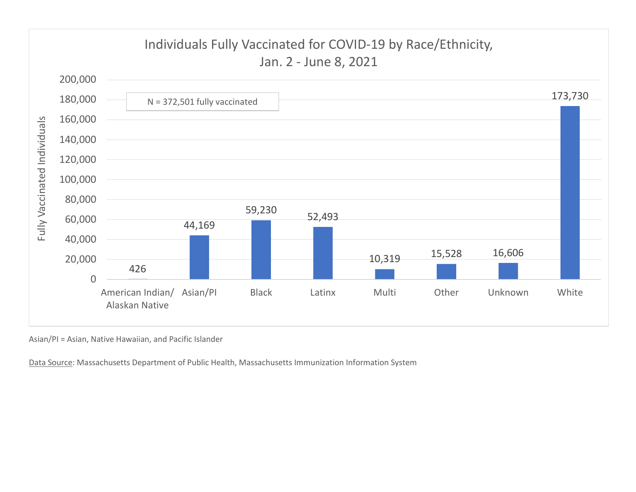

Asian/PI = Asian, Native Hawaiian, and Pacific Islander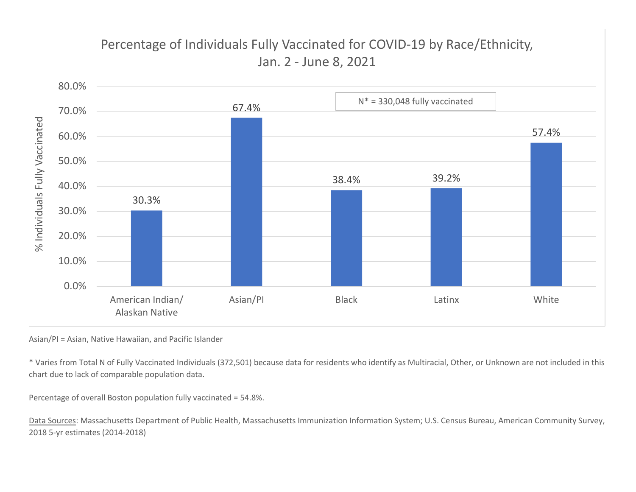

Asian/PI = Asian, Native Hawaiian, and Pacific Islander

\* Varies from Total N of Fully Vaccinated Individuals (372,501) because data for residents who identify as Multiracial, Other, or Unknown are not included in this chart due to lack of comparable population data.

Percentage of overall Boston population fully vaccinated = 54.8%.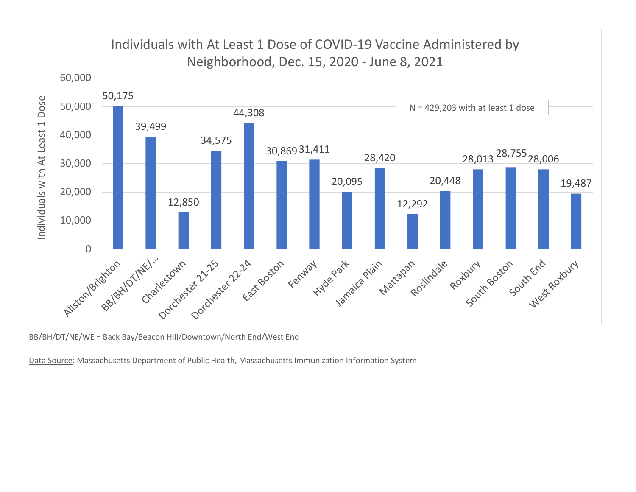

BB/BH/DT/NE/WE = Back Bay/Beacon Hill/Downtown/North End/West End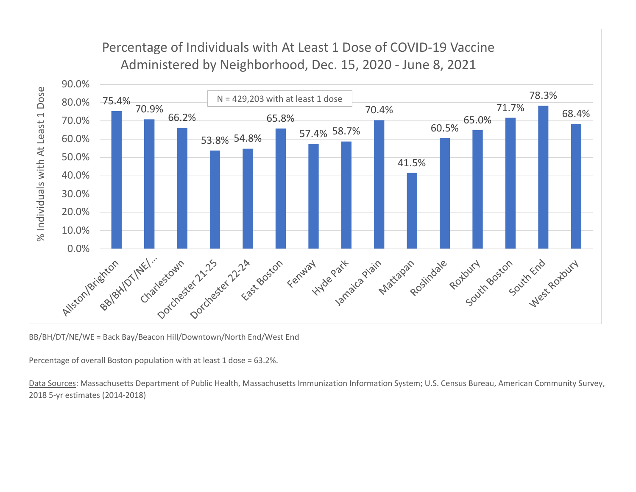

BB/BH/DT/NE/WE = Back Bay/Beacon Hill/Downtown/North End/West End

Percentage of overall Boston population with at least 1 dose = 63.2%.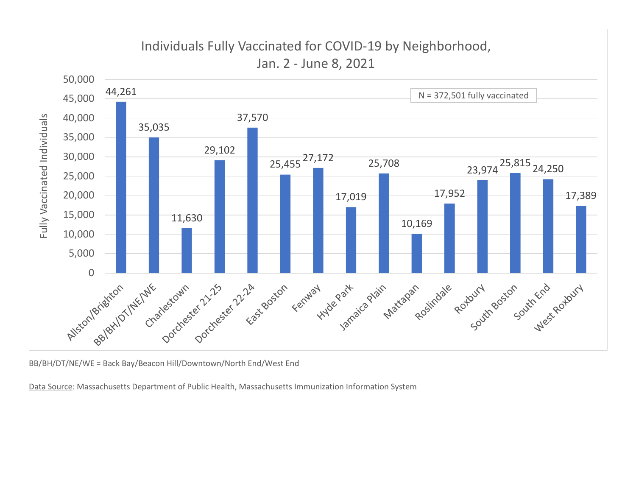

BB/BH/DT/NE/WE = Back Bay/Beacon Hill/Downtown/North End/West End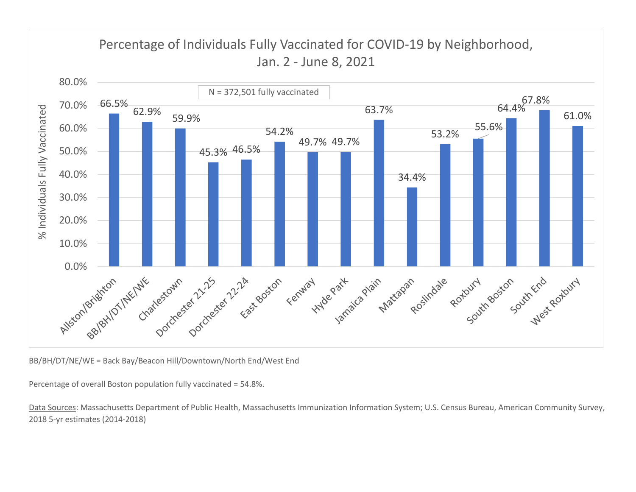

BB/BH/DT/NE/WE = Back Bay/Beacon Hill/Downtown/North End/West End

Percentage of overall Boston population fully vaccinated = 54.8%.